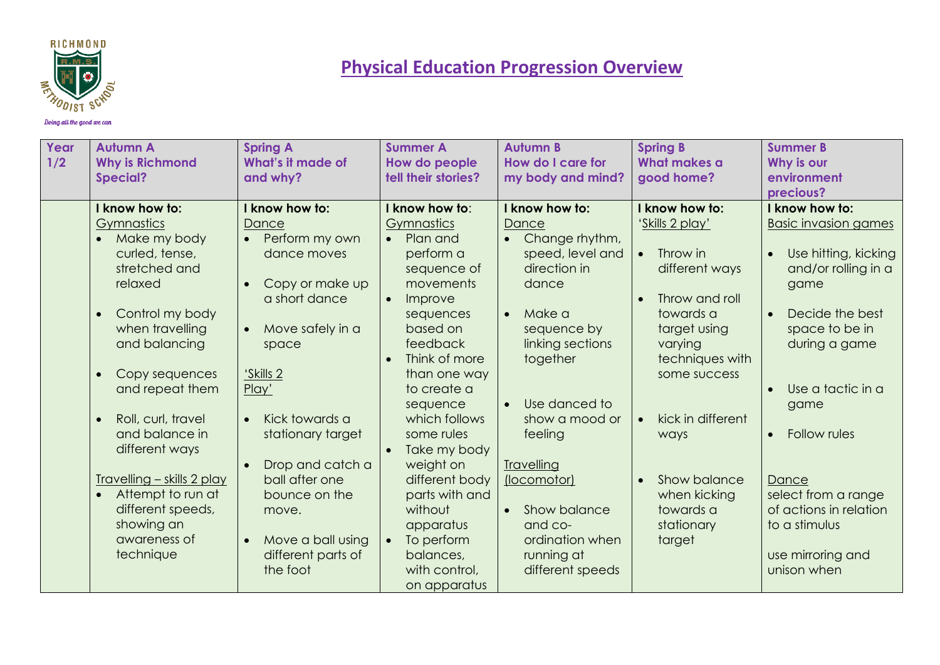

| Year<br>1/2 | <b>Autumn A</b><br><b>Why is Richmond</b><br><b>Special?</b>                                                                                        | <b>Spring A</b><br>What's it made of<br>and why?                                                        | <b>Summer A</b><br>How do people<br>tell their stories?                                                                                                    | <b>Autumn B</b><br>How do I care for<br>my body and mind?                                                                                  | <b>Spring B</b><br><b>What makes a</b><br>good home?                                                                                    | <b>Summer B</b><br>Why is our<br>environment<br>precious?                                                                                                          |
|-------------|-----------------------------------------------------------------------------------------------------------------------------------------------------|---------------------------------------------------------------------------------------------------------|------------------------------------------------------------------------------------------------------------------------------------------------------------|--------------------------------------------------------------------------------------------------------------------------------------------|-----------------------------------------------------------------------------------------------------------------------------------------|--------------------------------------------------------------------------------------------------------------------------------------------------------------------|
|             | I know how to:                                                                                                                                      | I know how to:                                                                                          | I know how to:                                                                                                                                             | I know how to:                                                                                                                             | I know how to:                                                                                                                          | I know how to:                                                                                                                                                     |
|             | <b>Gymnastics</b><br>Make my body<br>curled, tense,<br>stretched and<br>relaxed<br>Control my body<br>$\bullet$<br>when travelling<br>and balancing | Dance<br>Perform my own<br>dance moves<br>Copy or make up<br>a short dance<br>Move safely in a<br>space | Gymnastics<br>Plan and<br>$\bullet$<br>perform a<br>sequence of<br>movements<br>Improve<br>$\bullet$<br>sequences<br>based on<br>feedback<br>Think of more | Dance<br>Change rhythm,<br>speed, level and<br>direction in<br>dance<br>Make a<br>$\bullet$<br>sequence by<br>linking sections<br>together | 'Skills 2 play'<br>Throw in<br>$\bullet$<br>different ways<br>Throw and roll<br>towards a<br>target using<br>varying<br>techniques with | <b>Basic invasion games</b><br>Use hitting, kicking<br>$\bullet$<br>and/or rolling in a<br>game<br>Decide the best<br>$\bullet$<br>space to be in<br>during a game |
|             | Copy sequences<br>and repeat them                                                                                                                   | 'Skills 2<br>Play'                                                                                      | than one way<br>to create a<br>sequence                                                                                                                    | Use danced to<br>$\bullet$                                                                                                                 | some success                                                                                                                            | Use a tactic in a<br>$\bullet$                                                                                                                                     |
|             | Roll, curl, travel<br>$\bullet$<br>and balance in<br>different ways                                                                                 | Kick towards a<br>stationary target<br>Drop and catch a                                                 | which follows<br>some rules<br>Take my body<br>$\bullet$<br>weight on                                                                                      | show a mood or<br>feeling<br><b>Travelling</b>                                                                                             | kick in different<br>$\bullet$<br>ways                                                                                                  | game<br>Follow rules<br>$\bullet$                                                                                                                                  |
|             | <b>Travelling - skills 2 play</b><br>Attempt to run at<br>different speeds,<br>showing an<br>awareness of<br>technique                              | ball after one<br>bounce on the<br>move.<br>Move a ball using<br>different parts of<br>the foot         | different body<br>parts with and<br>without<br>apparatus<br>To perform<br>$\bullet$<br>balances,<br>with control,<br>on apparatus                          | (locomotor)<br>Show balance<br>$\bullet$<br>and co-<br>ordination when<br>running at<br>different speeds                                   | Show balance<br>when kicking<br>towards a<br>stationary<br>target                                                                       | Dance<br>select from a range<br>of actions in relation<br>to a stimulus<br>use mirroring and<br>unison when                                                        |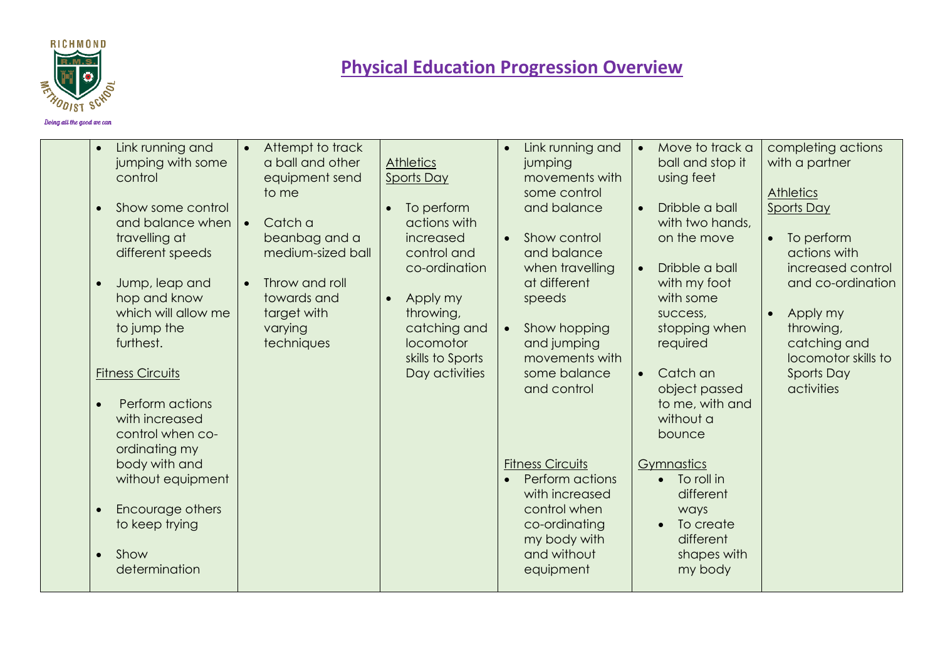

| Link running and<br>$\bullet$<br>jumping with some<br>control<br>Show some control<br>and balance when<br>travelling at<br>different speeds<br>Jump, leap and<br>$\bullet$<br>hop and know<br>which will allow me<br>to jump the<br>furthest.<br><b>Fitness Circuits</b><br>Perform actions<br>with increased<br>control when co- | Attempt to track<br>$\bullet$<br>a ball and other<br>equipment send<br>to me<br>Catch a<br>beanbag and a<br>medium-sized ball<br>Throw and roll<br>towards and<br>target with<br>varying<br>techniques | <b>Athletics</b><br><b>Sports Day</b><br>To perform<br>$\bullet$<br>actions with<br>increased<br>control and<br>co-ordination<br>Apply my<br>$\bullet$<br>throwing,<br>catching and<br>locomotor<br>skills to Sports<br>Day activities | Link running and<br>jumping<br>movements with<br>some control<br>and balance<br>Show control<br>$\bullet$<br>and balance<br>when travelling<br>at different<br>speeds<br>Show hopping<br>$\bullet$<br>and jumping<br>movements with<br>some balance<br>and control | Move to track a<br>$\bullet$<br>ball and stop it<br>using feet<br>Dribble a ball<br>with two hands,<br>on the move<br>Dribble a ball<br>with my foot<br>with some<br>success,<br>stopping when<br>required<br>Catch an<br>object passed<br>to me, with and<br>without a<br>bounce | completing actions<br>with a partner<br><b>Athletics</b><br><b>Sports Day</b><br>To perform<br>$\bullet$<br>actions with<br>increased control<br>and co-ordination<br>Apply my<br>$\bullet$<br>throwing,<br>catching and<br>locomotor skills to<br><b>Sports Day</b><br>activities |
|-----------------------------------------------------------------------------------------------------------------------------------------------------------------------------------------------------------------------------------------------------------------------------------------------------------------------------------|--------------------------------------------------------------------------------------------------------------------------------------------------------------------------------------------------------|----------------------------------------------------------------------------------------------------------------------------------------------------------------------------------------------------------------------------------------|--------------------------------------------------------------------------------------------------------------------------------------------------------------------------------------------------------------------------------------------------------------------|-----------------------------------------------------------------------------------------------------------------------------------------------------------------------------------------------------------------------------------------------------------------------------------|------------------------------------------------------------------------------------------------------------------------------------------------------------------------------------------------------------------------------------------------------------------------------------|
| ordinating my<br>body with and<br>without equipment<br>Encourage others<br>$\bullet$<br>to keep trying<br>Show<br>determination                                                                                                                                                                                                   |                                                                                                                                                                                                        |                                                                                                                                                                                                                                        | <b>Fitness Circuits</b><br>Perform actions<br>with increased<br>control when<br>co-ordinating<br>my body with<br>and without<br>equipment                                                                                                                          | Gymnastics<br>To roll in<br>$\bullet$<br>different<br>ways<br>To create<br>$\bullet$<br>different<br>shapes with<br>my body                                                                                                                                                       |                                                                                                                                                                                                                                                                                    |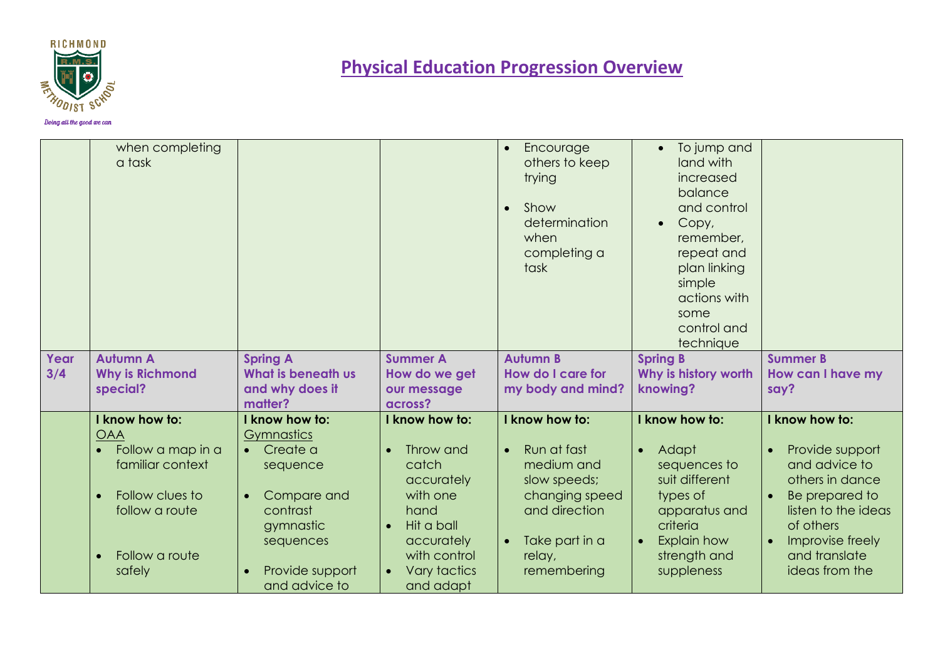

| when completing<br>a task                                                                              |                                                                                                           |                                                                                                                                            | Encourage<br>$\bullet$<br>others to keep<br>trying<br>Show<br>determination<br>when<br>completing a<br>task           | • To jump and<br>land with<br>increased<br>balance<br>and control<br>Copy,<br>$\bullet$<br>remember.<br>repeat and<br>plan linking<br>simple<br>actions with<br>some<br>control and<br>technique |                                                                                                                                                                               |
|--------------------------------------------------------------------------------------------------------|-----------------------------------------------------------------------------------------------------------|--------------------------------------------------------------------------------------------------------------------------------------------|-----------------------------------------------------------------------------------------------------------------------|--------------------------------------------------------------------------------------------------------------------------------------------------------------------------------------------------|-------------------------------------------------------------------------------------------------------------------------------------------------------------------------------|
|                                                                                                        |                                                                                                           |                                                                                                                                            |                                                                                                                       |                                                                                                                                                                                                  | <b>Summer B</b>                                                                                                                                                               |
|                                                                                                        |                                                                                                           |                                                                                                                                            |                                                                                                                       |                                                                                                                                                                                                  | How can I have my<br>say?                                                                                                                                                     |
|                                                                                                        | matter?                                                                                                   |                                                                                                                                            |                                                                                                                       |                                                                                                                                                                                                  |                                                                                                                                                                               |
| I know how to:                                                                                         | I know how to:                                                                                            | I know how to:                                                                                                                             | I know how to:                                                                                                        | I know how to:                                                                                                                                                                                   | I know how to:                                                                                                                                                                |
| Follow a map in a<br>familiar context<br>Follow clues to<br>follow a route<br>Follow a route<br>safely | Create a<br>$\bullet$<br>sequence<br>Compare and<br>contrast<br>gymnastic<br>sequences<br>Provide support | Throw and<br>$\bullet$<br>catch<br>accurately<br>with one<br>hand<br>Hit a ball<br>$\bullet$<br>accurately<br>with control<br>Vary tactics | Run at fast<br>medium and<br>slow speeds;<br>changing speed<br>and direction<br>Take part in a<br>$\bullet$<br>relay, | Adapt<br>$\bullet$<br>sequences to<br>suit different<br>types of<br>apparatus and<br>criteria<br>Explain how<br>$\bullet$<br>strength and<br>suppleness                                          | Provide support<br>$\bullet$<br>and advice to<br>others in dance<br>Be prepared to<br>listen to the ideas<br>of others<br>Improvise freely<br>and translate<br>ideas from the |
|                                                                                                        | <b>Autumn A</b><br><b>Why is Richmond</b><br>special?<br><b>OAA</b>                                       | <b>Spring A</b><br>What is beneath us<br>and why does it<br>Gymnastics                                                                     | <b>Summer A</b><br>How do we get<br>our message<br>across?                                                            | <b>Autumn B</b><br>How do I care for<br>my body and mind?<br>remembering                                                                                                                         | <b>Spring B</b><br>Why is history worth<br>knowing?                                                                                                                           |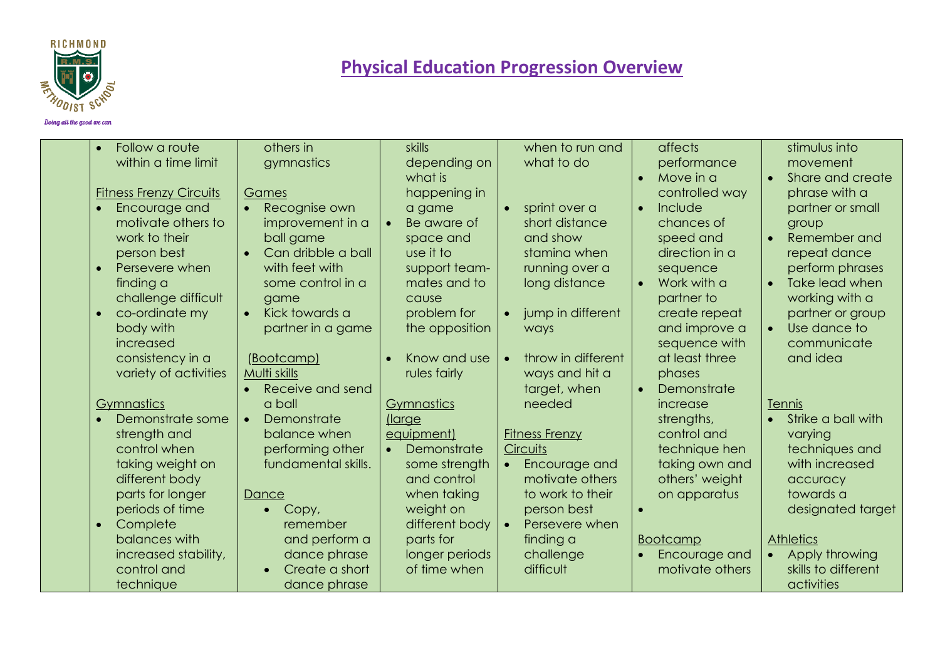

| Follow a route<br>$\bullet$<br>within a time limit                                                                                                                                                                                                   | others in<br>gymnastics                                                                                                                                                                                                                  | skills<br>depending on<br>what is                                                                                                                                          | when to run and<br>what to do                                                                                                                                                         | affects<br>performance<br>Move in a                                                                                                                                                                                      | stimulus into<br>movement<br>Share and create                                                                                                                                                                              |
|------------------------------------------------------------------------------------------------------------------------------------------------------------------------------------------------------------------------------------------------------|------------------------------------------------------------------------------------------------------------------------------------------------------------------------------------------------------------------------------------------|----------------------------------------------------------------------------------------------------------------------------------------------------------------------------|---------------------------------------------------------------------------------------------------------------------------------------------------------------------------------------|--------------------------------------------------------------------------------------------------------------------------------------------------------------------------------------------------------------------------|----------------------------------------------------------------------------------------------------------------------------------------------------------------------------------------------------------------------------|
| <b>Fitness Frenzy Circuits</b><br>Encourage and<br>motivate others to<br>work to their<br>person best<br>Persevere when<br>finding a<br>challenge difficult<br>co-ordinate my<br>body with<br>increased<br>consistency in a<br>variety of activities | Games<br>Recognise own<br>$\bullet$<br>improvement in a<br>ball game<br>Can dribble a ball<br>$\bullet$<br>with feet with<br>some control in a<br>game<br>Kick towards a<br>$\bullet$<br>partner in a game<br>(Bootcamp)<br>Multi skills | happening in<br>a game<br>Be aware of<br>space and<br>use it to<br>support team-<br>mates and to<br>cause<br>problem for<br>the opposition<br>Know and use<br>rules fairly | sprint over a<br>short distance<br>and show<br>staming when<br>running over a<br>long distance<br>jump in different<br>ways<br>throw in different<br>$\bullet$<br>ways and hit a      | controlled way<br>Include<br>$\bullet$<br>chances of<br>speed and<br>direction in a<br>sequence<br>Work with a<br>$\bullet$<br>partner to<br>create repeat<br>and improve a<br>sequence with<br>at least three<br>phases | phrase with a<br>partner or small<br>group<br>Remember and<br>$\bullet$<br>repeat dance<br>perform phrases<br>Take lead when<br>working with a<br>partner or group<br>Use dance to<br>$\bullet$<br>communicate<br>and idea |
| Gymnastics<br>Demonstrate some<br>strength and<br>control when<br>taking weight on<br>different body<br>parts for longer<br>periods of time<br>Complete<br>$\bullet$                                                                                 | Receive and send<br>$\bullet$<br>a ball<br>Demonstrate<br>$\bullet$<br>balance when<br>performing other<br>fundamental skills.<br>Dance<br>Copy,<br>remember                                                                             | <b>Gymnastics</b><br>(large<br>equipment)<br>Demonstrate<br>some strength<br>and control<br>when taking<br>weight on<br>different body                                     | target, when<br>needed<br><b>Fitness Frenzy</b><br><b>Circuits</b><br>Encourage and<br>$\bullet$<br>motivate others<br>to work to their<br>person best<br>Persevere when<br>$\bullet$ | Demonstrate<br>$\bullet$<br>increase<br>strengths,<br>control and<br>technique hen<br>taking own and<br>others' weight<br>on apparatus                                                                                   | Tennis<br>Strike a ball with<br>varying<br>techniques and<br>with increased<br>accuracy<br>towards a<br>designated target                                                                                                  |
| balances with<br>increased stability,<br>control and<br>technique                                                                                                                                                                                    | and perform a<br>dance phrase<br>Create a short<br>dance phrase                                                                                                                                                                          | parts for<br>longer periods<br>of time when                                                                                                                                | finding a<br>challenge<br>difficult                                                                                                                                                   | <b>Bootcamp</b><br>Encourage and<br>motivate others                                                                                                                                                                      | <b>Athletics</b><br>Apply throwing<br>skills to different<br>activities                                                                                                                                                    |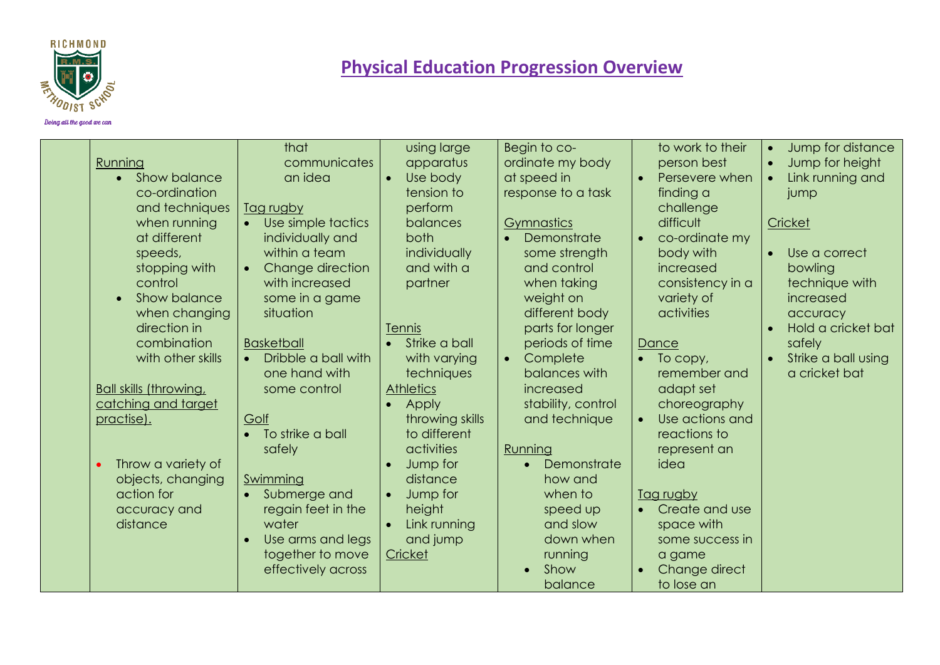

| Running<br>Show balance<br>co-ordination<br>and techniques<br>when running<br>at different<br>speeds,<br>stopping with<br>control<br>Show balance<br>when changing<br>direction in<br>combination<br>with other skills<br><b>Ball skills (throwing,</b><br>catching and target<br>practise).<br>Throw a variety of<br>objects, changing<br>action for | that<br>communicates<br>an idea<br>Tag rugby<br>Use simple tactics<br>individually and<br>within a team<br>Change direction<br>$\bullet$<br>with increased<br>some in a game<br>situation<br><b>Basketball</b><br>Dribble a ball with<br>$\bullet$<br>one hand with<br>some control<br>Golf<br>To strike a ball<br>safely<br>Swimming<br>Submerge and<br>$\bullet$ | using large<br>apparatus<br>Use body<br>$\bullet$<br>tension to<br>perform<br>balances<br>both<br>individually<br>and with a<br>partner<br>Tennis<br>• Strike a ball<br>with varying<br>techniques<br><b>Athletics</b><br>Apply<br>throwing skills<br>to different<br>activities<br>Jump for<br>distance<br>Jump for | Begin to co-<br>ordinate my body<br>at speed in<br>response to a task<br>Gymnastics<br>Demonstrate<br>some strength<br>and control<br>when taking<br>weight on<br>different body<br>parts for longer<br>periods of time<br>Complete<br>$\bullet$<br>balances with<br>increased<br>stability, control<br>and technique<br>Running<br>Demonstrate<br>$\bullet$<br>how and<br>when to | to work to their<br>person best<br>Persevere when<br>finding a<br>challenge<br>difficult<br>co-ordinate my<br>body with<br>increased<br>consistency in a<br>variety of<br>activities<br>Dance<br>To copy,<br>$\bullet$<br>remember and<br>adapt set<br>choreography<br>Use actions and<br>reactions to<br>represent an<br>idea<br>Tag rugby | Jump for distance<br>$\bullet$<br>Jump for height<br>$\bullet$<br>Link running and<br>jump<br>Cricket<br>Use a correct<br>bowling<br>technique with<br>increased<br>accuracy<br>Hold a cricket bat<br>safely<br>Strike a ball using<br>a cricket bat |
|-------------------------------------------------------------------------------------------------------------------------------------------------------------------------------------------------------------------------------------------------------------------------------------------------------------------------------------------------------|--------------------------------------------------------------------------------------------------------------------------------------------------------------------------------------------------------------------------------------------------------------------------------------------------------------------------------------------------------------------|----------------------------------------------------------------------------------------------------------------------------------------------------------------------------------------------------------------------------------------------------------------------------------------------------------------------|------------------------------------------------------------------------------------------------------------------------------------------------------------------------------------------------------------------------------------------------------------------------------------------------------------------------------------------------------------------------------------|---------------------------------------------------------------------------------------------------------------------------------------------------------------------------------------------------------------------------------------------------------------------------------------------------------------------------------------------|------------------------------------------------------------------------------------------------------------------------------------------------------------------------------------------------------------------------------------------------------|
| accuracy and<br>distance                                                                                                                                                                                                                                                                                                                              | regain feet in the<br>water<br>Use arms and legs<br>together to move<br>effectively across                                                                                                                                                                                                                                                                         | height<br>Link running<br>$\bullet$<br>and jump<br>Cricket                                                                                                                                                                                                                                                           | speed up<br>and slow<br>down when<br>running<br>Show<br>balance                                                                                                                                                                                                                                                                                                                    | Create and use<br>space with<br>some success in<br>a game<br>Change direct<br>to lose an                                                                                                                                                                                                                                                    |                                                                                                                                                                                                                                                      |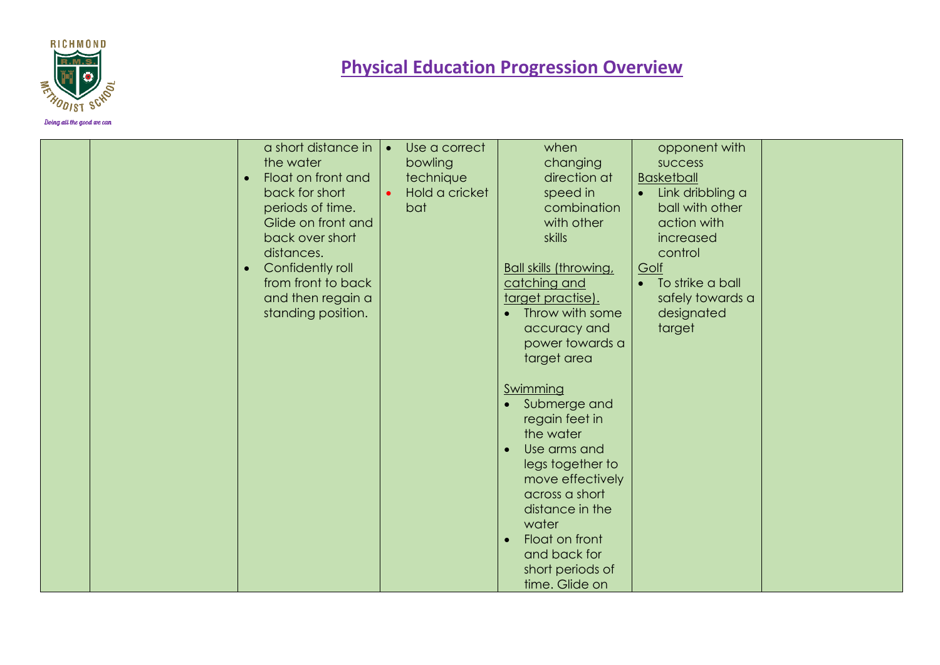

| a short distance in<br>the water<br>Float on front and<br>$\bullet$<br>back for short<br>periods of time.<br>Glide on front and<br>back over short<br>distances.<br>Confidently roll<br>$\bullet$<br>from front to back<br>and then regain a<br>standing position. | Use a correct<br>bowling<br>technique<br>Hold a cricket<br>bat | when<br>changing<br>direction at<br>speed in<br>combination<br>with other<br>skills<br><b>Ball skills (throwing,</b><br>catching and<br>target practise).<br>Throw with some<br>accuracy and<br>power towards a<br>target area                       | opponent with<br><b>SUCCESS</b><br><b>Basketball</b><br>Link dribbling a<br>$\bullet$<br>ball with other<br>action with<br>increased<br>control<br>Golf<br>To strike a ball<br>$\bullet$<br>safely towards a<br>designated<br>target |  |
|--------------------------------------------------------------------------------------------------------------------------------------------------------------------------------------------------------------------------------------------------------------------|----------------------------------------------------------------|------------------------------------------------------------------------------------------------------------------------------------------------------------------------------------------------------------------------------------------------------|--------------------------------------------------------------------------------------------------------------------------------------------------------------------------------------------------------------------------------------|--|
|                                                                                                                                                                                                                                                                    |                                                                | Swimming<br>• Submerge and<br>regain feet in<br>the water<br>Use arms and<br>legs together to<br>move effectively<br>across a short<br>distance in the<br>water<br>Float on front<br>$\bullet$<br>and back for<br>short periods of<br>time. Glide on |                                                                                                                                                                                                                                      |  |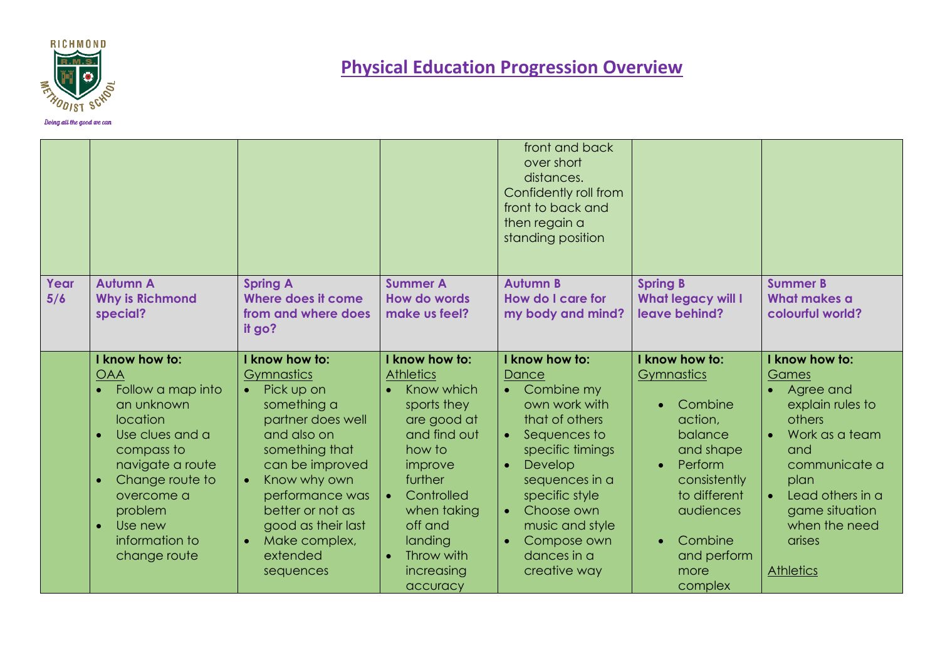

|             |                                                                                                                                                                                                                                  |                                                                                                                                                                                                                                                                                                  |                                                                                                                                                                                                                                                     | front and back<br>over short<br>distances.<br>Confidently roll from<br>front to back and<br>then regain a<br>standing position                                                                                                                                                      |                                                                                                                                                                                              |                                                                                                                                                                                                                                            |
|-------------|----------------------------------------------------------------------------------------------------------------------------------------------------------------------------------------------------------------------------------|--------------------------------------------------------------------------------------------------------------------------------------------------------------------------------------------------------------------------------------------------------------------------------------------------|-----------------------------------------------------------------------------------------------------------------------------------------------------------------------------------------------------------------------------------------------------|-------------------------------------------------------------------------------------------------------------------------------------------------------------------------------------------------------------------------------------------------------------------------------------|----------------------------------------------------------------------------------------------------------------------------------------------------------------------------------------------|--------------------------------------------------------------------------------------------------------------------------------------------------------------------------------------------------------------------------------------------|
| Year<br>5/6 | <b>Autumn A</b><br><b>Why is Richmond</b><br>special?                                                                                                                                                                            | <b>Spring A</b><br>Where does it come<br>from and where does<br>it go?                                                                                                                                                                                                                           | <b>Summer A</b><br><b>How do words</b><br>make us feel?                                                                                                                                                                                             | <b>Autumn B</b><br>How do I care for<br>my body and mind?                                                                                                                                                                                                                           | <b>Spring B</b><br><b>What legacy will I</b><br>leave behind?                                                                                                                                | <b>Summer B</b><br>What makes a<br>colourful world?                                                                                                                                                                                        |
|             | I know how to:<br><b>OAA</b><br>Follow a map into<br>an unknown<br><b>location</b><br>Use clues and a<br>compass to<br>navigate a route<br>Change route to<br>overcome a<br>problem<br>Use new<br>information to<br>change route | I know how to:<br>Gymnastics<br>Pick up on<br>$\bullet$<br>something a<br>partner does well<br>and also on<br>something that<br>can be improved<br>Know why own<br>$\bullet$<br>performance was<br>better or not as<br>good as their last<br>Make complex,<br>$\bullet$<br>extended<br>sequences | I know how to:<br><b>Athletics</b><br>Know which<br>sports they<br>are good at<br>and find out<br>how to<br>improve<br>further<br>Controlled<br>$\bullet$<br>when taking<br>off and<br>landing<br>Throw with<br>$\bullet$<br>increasing<br>accuracy | I know how to:<br>Dance<br>• Combine my<br>own work with<br>that of others<br>Sequences to<br>$\bullet$<br>specific timings<br>Develop<br>$\bullet$<br>sequences in a<br>specific style<br>Choose own<br>$\bullet$<br>music and style<br>Compose own<br>dances in a<br>creative way | I know how to:<br>Gymnastics<br>Combine<br>action,<br>balance<br>and shape<br>Perform<br>$\bullet$<br>consistently<br>to different<br>audiences<br>Combine<br>and perform<br>more<br>complex | I know how to:<br>Games<br>Agree and<br>explain rules to<br>others<br>Work as a team<br>$\bullet$<br>and<br>communicate a<br>plan<br>Lead others in a<br>$\bullet$<br>game situation<br>when the need<br><b>arises</b><br><b>Athletics</b> |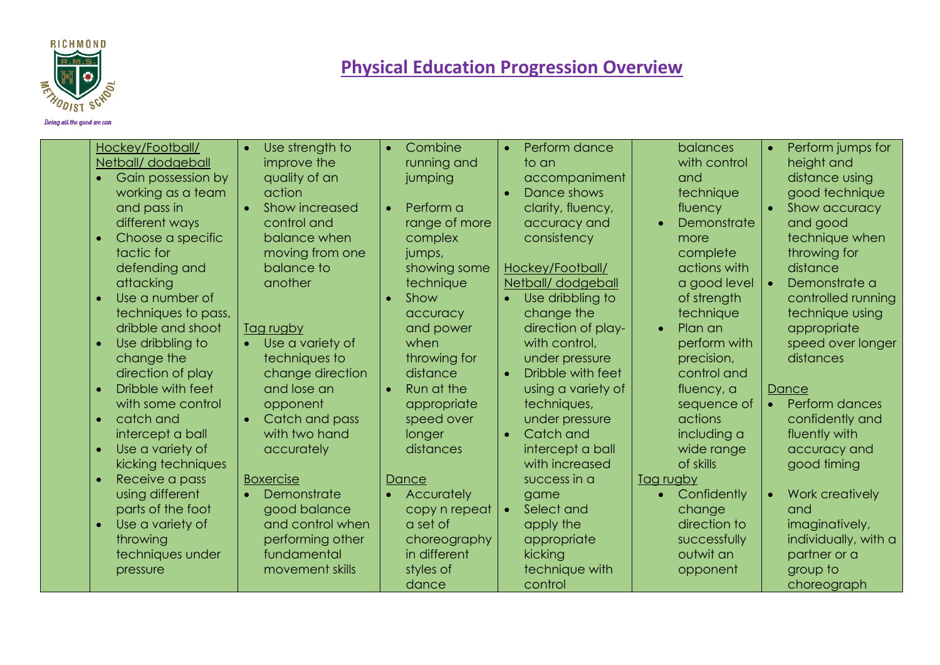

| Hockey/Football/<br>Netball/dodgeball<br>Gain possession by<br>working as a team<br>and pass in<br>different ways<br>Choose a specific<br>tactic for<br>defending and<br>attacking<br>Use a number of<br>techniques to pass,<br>dribble and shoot<br>Use dribbling to<br>change the<br>direction of play<br>Dribble with feet<br>with some control<br>catch and<br>intercept a ball<br>Use a variety of<br>kicking techniques<br>Receive a pass<br>using different<br>parts of the foot | Use strength to<br>$\bullet$<br>improve the<br>quality of an<br>action<br>Show increased<br>$\bullet$<br>control and<br>balance when<br>moving from one<br>balance to<br>another<br>Tag rugby<br>Use a variety of<br>techniques to<br>change direction<br>and lose an<br>opponent<br>Catch and pass<br>$\bullet$<br>with two hand<br>accurately<br><b>Boxercise</b><br>Demonstrate<br>$\bullet$<br>good balance | Combine<br>$\bullet$<br>running and<br>jumping<br>Perform a<br>range of more<br>complex<br>jumps,<br>showing some<br>technique<br>Show<br>accuracy<br>and power<br>when<br>throwing for<br>distance<br>Run at the<br>$\bullet$<br>appropriate<br>speed over<br>longer<br>distances<br>Dance<br>Accurately<br>copy n repeat | Perform dance<br>$\bullet$<br>to an<br>accompaniment<br>Dance shows<br>clarity, fluency,<br>accuracy and<br>consistency<br>Hockey/Football/<br>Netball/dodgeball<br>Use dribbling to<br>$\bullet$<br>change the<br>direction of play-<br>with control,<br>under pressure<br>Dribble with feet<br>$\bullet$<br>using a variety of<br>techniques,<br>under pressure<br>Catch and<br>$\bullet$<br>intercept a ball<br>with increased<br>success in a<br>game<br>Select and<br>$\bullet$ | balances<br>with control<br>and<br>technique<br>fluency<br>Demonstrate<br>more<br>complete<br>actions with<br>a good level<br>of strength<br>technique<br>Plan an<br>$\bullet$<br>perform with<br>precision,<br>control and<br>fluency, a<br>sequence of<br>actions<br>including a<br>wide range<br>of skills<br>Tag rugby<br>Confidently<br>change | Perform jumps for<br>$\bullet$<br>height and<br>distance using<br>good technique<br>Show accuracy<br>and good<br>technique when<br>throwing for<br>distance<br>Demonstrate a<br>controlled running<br>technique using<br>appropriate<br>speed over longer<br>distances<br>Dance<br>Perform dances<br>$\bullet$<br>confidently and<br>fluently with<br>accuracy and<br>good timing<br>Work creatively<br>$\bullet$<br>and |
|-----------------------------------------------------------------------------------------------------------------------------------------------------------------------------------------------------------------------------------------------------------------------------------------------------------------------------------------------------------------------------------------------------------------------------------------------------------------------------------------|-----------------------------------------------------------------------------------------------------------------------------------------------------------------------------------------------------------------------------------------------------------------------------------------------------------------------------------------------------------------------------------------------------------------|----------------------------------------------------------------------------------------------------------------------------------------------------------------------------------------------------------------------------------------------------------------------------------------------------------------------------|--------------------------------------------------------------------------------------------------------------------------------------------------------------------------------------------------------------------------------------------------------------------------------------------------------------------------------------------------------------------------------------------------------------------------------------------------------------------------------------|-----------------------------------------------------------------------------------------------------------------------------------------------------------------------------------------------------------------------------------------------------------------------------------------------------------------------------------------------------|--------------------------------------------------------------------------------------------------------------------------------------------------------------------------------------------------------------------------------------------------------------------------------------------------------------------------------------------------------------------------------------------------------------------------|
| Use a variety of<br>throwing<br>techniques under<br>pressure                                                                                                                                                                                                                                                                                                                                                                                                                            | and control when<br>performing other<br>fundamental<br>movement skills                                                                                                                                                                                                                                                                                                                                          | a set of<br>choreography<br>in different<br>styles of                                                                                                                                                                                                                                                                      | apply the<br>appropriate<br>kicking<br>technique with                                                                                                                                                                                                                                                                                                                                                                                                                                | direction to<br>successfully<br>outwit an<br>opponent                                                                                                                                                                                                                                                                                               | imaginatively,<br>individually, with a<br>partner or a<br>group to                                                                                                                                                                                                                                                                                                                                                       |
|                                                                                                                                                                                                                                                                                                                                                                                                                                                                                         |                                                                                                                                                                                                                                                                                                                                                                                                                 | dance                                                                                                                                                                                                                                                                                                                      | control                                                                                                                                                                                                                                                                                                                                                                                                                                                                              |                                                                                                                                                                                                                                                                                                                                                     | choreograph                                                                                                                                                                                                                                                                                                                                                                                                              |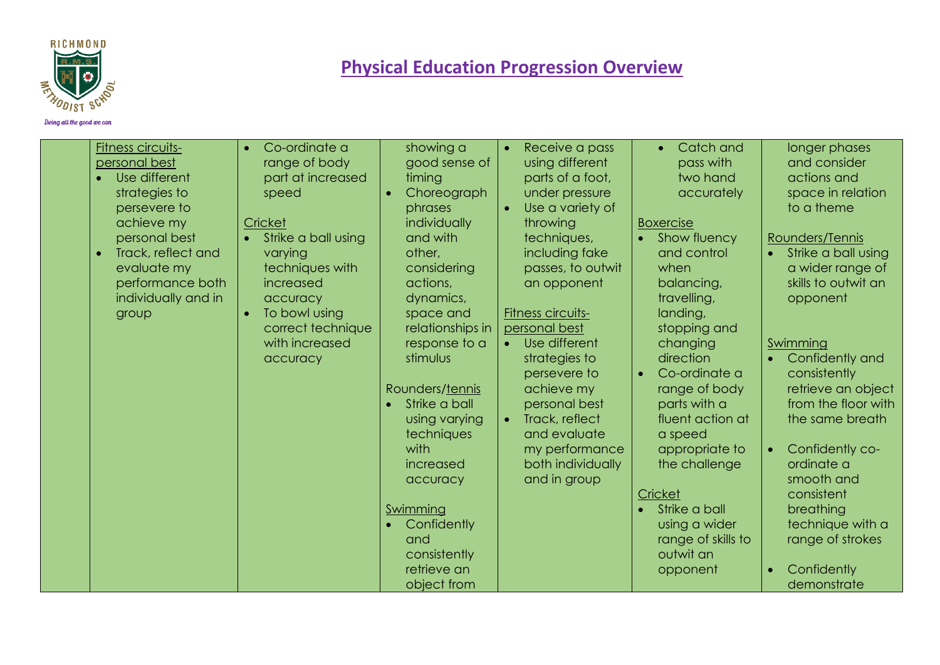

| <b>Fitness circuits-</b><br>personal best<br>Use different<br>strategies to<br>persevere to<br>achieve my<br>personal best<br>Track, reflect and<br>$\bullet$<br>evaluate my<br>performance both<br>individually and in<br>group | Co-ordinate a<br>range of body<br>part at increased<br>speed<br>Cricket<br>Strike a ball using<br>varying<br>techniques with<br>increased<br>accuracy<br>To bowl using<br>correct technique<br>with increased<br>accuracy | showing a<br>good sense of<br>timing<br>Choreograph<br>$\bullet$<br>phrases<br>individually<br>and with<br>other,<br>considering<br>actions,<br>dynamics,<br>space and<br>relationships in<br>response to a<br>stimulus<br>Rounders/tennis<br>Strike a ball<br>using varying<br>techniques<br>with<br>increased<br>accuracy<br>Swimming<br>Confidently<br>and<br>consistently | Receive a pass<br>$\bullet$<br>using different<br>parts of a foot,<br>under pressure<br>Use a variety of<br>$\bullet$<br>throwing<br>techniques,<br>including fake<br>passes, to outwit<br>an opponent<br>Fitness circuits-<br>personal best<br>Use different<br>$\bullet$<br>strategies to<br>persevere to<br>achieve my<br>personal best<br>Track, reflect<br>$\bullet$<br>and evaluate<br>my performance<br>both individually<br>and in group | Catch and<br>pass with<br>two hand<br>accurately<br><b>Boxercise</b><br>Show fluency<br>and control<br>when<br>balancing,<br>travelling,<br>landing,<br>stopping and<br>changing<br>direction<br>Co-ordinate a<br>range of body<br>parts with a<br>fluent action at<br>a speed<br>appropriate to<br>the challenge<br>Cricket<br>Strike a ball<br>using a wider<br>range of skills to<br>outwit an | longer phases<br>and consider<br>actions and<br>space in relation<br>to a theme<br>Rounders/Tennis<br>Strike a ball using<br>$\bullet$<br>a wider range of<br>skills to outwit an<br>opponent<br>Swimming<br>Confidently and<br>consistently<br>retrieve an object<br>from the floor with<br>the same breath<br>Confidently co-<br>$\bullet$<br>ordinate a<br>smooth and<br>consistent<br>breathing<br>technique with a<br>range of strokes |
|----------------------------------------------------------------------------------------------------------------------------------------------------------------------------------------------------------------------------------|---------------------------------------------------------------------------------------------------------------------------------------------------------------------------------------------------------------------------|-------------------------------------------------------------------------------------------------------------------------------------------------------------------------------------------------------------------------------------------------------------------------------------------------------------------------------------------------------------------------------|--------------------------------------------------------------------------------------------------------------------------------------------------------------------------------------------------------------------------------------------------------------------------------------------------------------------------------------------------------------------------------------------------------------------------------------------------|---------------------------------------------------------------------------------------------------------------------------------------------------------------------------------------------------------------------------------------------------------------------------------------------------------------------------------------------------------------------------------------------------|---------------------------------------------------------------------------------------------------------------------------------------------------------------------------------------------------------------------------------------------------------------------------------------------------------------------------------------------------------------------------------------------------------------------------------------------|
|                                                                                                                                                                                                                                  |                                                                                                                                                                                                                           | retrieve an<br>object from                                                                                                                                                                                                                                                                                                                                                    |                                                                                                                                                                                                                                                                                                                                                                                                                                                  | opponent                                                                                                                                                                                                                                                                                                                                                                                          | Confidently<br>$\bullet$<br>demonstrate                                                                                                                                                                                                                                                                                                                                                                                                     |